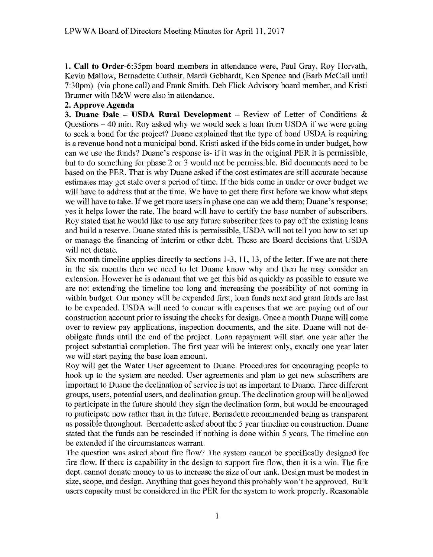**1. Call to** Order-6:35pm board members in attendance were, Paul Gray, Roy Horvath, Kevin Mallow, Bemadette Cuthair, Mardi Gebhardt, Ken Spence and (Barb McCall until 7:30pm) (via phone call) and Frank Smith. Deb Flick Advisory board member, and Kristi Brunner with B&W were also in attendance.

## **2. Approve Agenda**

**3. Duane Dale – USDA Rural Development** – Review of Letter of Conditions & Questions - 40 min. Roy asked why we would seek a loan from USDA if we were going to seek a bond for the project? Duane explained that the type of bond USDA is requiring is a revenue bond not a municipal bond. Kristi asked if the bids come in under budget, how can we use the funds? Duane's response is- if it was in the original PER it is permissible, but to do something for phase 2 or 3 would not be permissible. Bid documents need to be based on the PER. That is why Duane asked if the cost estimates are still accurate because estimates may get stale over a period of time. If the bids come in under or over budget we will have to address that at the time. We have to get there first before we know what steps we will have to take. If we get more users in phase one can we add them; Duane's response; yes it helps lower the rate. The board will have to certify the base number of subscribers. Roy stated that he would like to use any future subscriber fees to pay off the existing loans and build a reserve. Duane stated this is permissible, USDA will not tell you how to set up or manage the financing of interim or other debt. These are Board decisions that USDA will not dictate.

Six month timeline applies directly to sections 1-3, 11, 13, of the letter. If we are not there in the six months then we need to let Duane know why and then he may consider an extension. However he is adamant that we get this bid as quickly as possible to ensure we are not extending the timeline too long and increasing the possibility of not coming in within budget. Our money will be expended first, loan funds next and grant funds are last to be expended. USDA will need to concur with expenses that we are paying out of our construction account prior to issuing the checks for design. Once a month Duane will come over to review pay applications, inspection documents, and the site. Duane will not deobligate funds until the end of the project. Loan repayment will start one year after the project substantial completion. The first year will be interest only, exactly one year later we will start paying the base loan amount.

Roy will get the Water User agreement to Duane. Procedures for encouraging people to hook up to the system are needed. User agreements and plan to get new subscribers are important to Duane the declination of service is not as important to Duane. Three different groups, users, potential users, and declination group. The declination group will be allowed to participate in the future should they sign the declination form, but would be encouraged to participate now rather than in the future. Bernadette recommended being as transparent as possible throughout. Bernadette asked about the 5 year timeline on construction. Duane stated that the funds can be rescinded if nothing is done within 5 years. The timeline can be extended if the circumstances warrant.

The question was asked about fire flow? The system cannot be specifically designed for fire flow. If there is capability in the design to support fire flow, then it is a win. The fire dept. cannot donate money to us to increase the size of our tank. Design must be modest in size, scope, and design. Anything that goes beyond this probably won't be approved. Bulk users capacity must be considered in the PER for the system to work properly. Reasonable